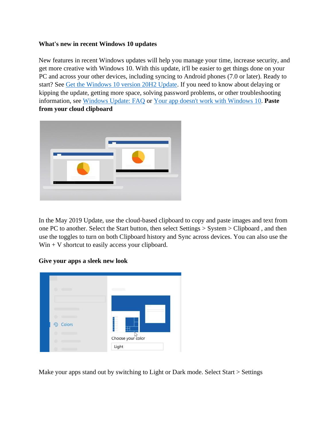## **What's new in recent Windows 10 updates**

New features in recent Windows updates will help you manage your time, increase security, and get more creative with Windows 10. With this update, it'll be easier to get things done on your PC and across your other devices, including syncing to Android phones (7.0 or later). Ready to start? See [Get the Windows 10 version 20H2 Update](https://support.microsoft.com/en-us/help/4581839)[.](https://support.microsoft.com/en-us/help/4028685/windows-10-get-the-update) If you need to know about delaying or kipping the update, getting more space, solving password problems, or other troubleshooting information, see [Windows Update: FAQ](https://support.microsoft.com/en-us/help/12373/windows-update-faq) or [Your app doesn't work with Windows 10.](https://support.microsoft.com/en-us/help/10581/windows-10-app-not-work) **Paste from your cloud clipboard** 



In the May 2019 Update, use the cloud-based clipboard to copy and paste images and text from one PC to another. Select the Start button, then select Settings > System > Clipboard , and then use the toggles to turn on both Clipboard history and Sync across devices. You can also use the  $Win + V$  shortcut to easily access your clipboard.

#### **Give your apps a sleek new look**



Make your apps stand out by switching to Light or Dark mode. Select Start > Settings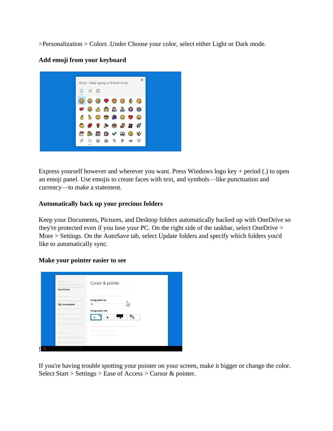>Personalization > Colors .Under Choose your color, select either Light or Dark mode.



# **Add emoji from your keyboard**

Express yourself however and wherever you want. Press Windows logo key + period (.) to open an emoji panel. Use emojis to create faces with text, and symbols—like punctuation and currency—to make a statement.

## **Automatically back up your precious folders**

Keep your Documents, Pictures, and Desktop folders automatically backed up with OneDrive so they're protected even if you lose your PC. On the right side of the taskbar, select OneDrive > More > Settings. On the AutoSave tab, select Update folders and specify which folders you'd like to automatically sync.

#### **Make your pointer easier to see**

| Change pointer size<br>ı,<br>m <sup>2</sup><br><b>NS</b> Cursor & pointer<br>Change pointer color<br>٠ |                | Cursor & pointer |
|--------------------------------------------------------------------------------------------------------|----------------|------------------|
|                                                                                                        | Ease of Access |                  |
|                                                                                                        |                |                  |
| ×                                                                                                      |                |                  |

If you're having trouble spotting your pointer on your screen, make it bigger or change the color. Select Start > Settings > Ease of Access > Cursor & pointer.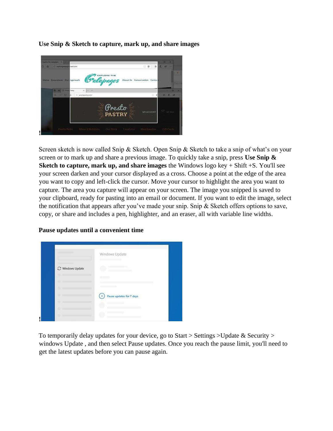

**Use Snip & Sketch to capture, mark up, and share images** 

Screen sketch is now called Snip & Sketch. Open Snip & Sketch to take a snip of what's on your screen or to mark up and share a previous image. To quickly take a snip, press **Use Snip & Sketch to capture, mark up, and share images** the Windows logo key + Shift +S. You'll see your screen darken and your cursor displayed as a cross. Choose a point at the edge of the area you want to copy and left-click the cursor. Move your cursor to highlight the area you want to capture. The area you capture will appear on your screen. The image you snipped is saved to your clipboard, ready for pasting into an email or document. If you want to edit the image, select the notification that appears after you've made your snip. Snip & Sketch offers options to save, copy, or share and includes a pen, highlighter, and an eraser, all with variable line widths.

|                  | Windows Update           |
|------------------|--------------------------|
| C Windows Update |                          |
|                  |                          |
|                  |                          |
|                  | Pause updates for 7 days |
|                  |                          |
|                  |                          |

**Pause updates until a convenient time** 

To temporarily delay updates for your device, go to Start > Settings > Update & Security > windows Update , and then select Pause updates. Once you reach the pause limit, you'll need to get the latest updates before you can pause again.